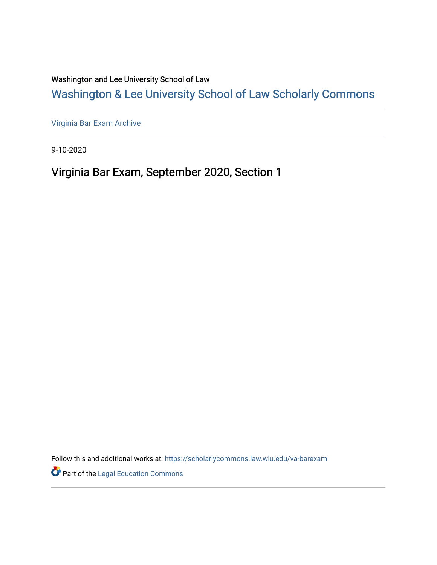Washington and Lee University School of Law

[Washington & Lee University School of Law Scholarly Commons](https://scholarlycommons.law.wlu.edu/) 

[Virginia Bar Exam Archive](https://scholarlycommons.law.wlu.edu/va-barexam)

9-10-2020

Virginia Bar Exam, September 2020, Section 1

Follow this and additional works at: [https://scholarlycommons.law.wlu.edu/va-barexam](https://scholarlycommons.law.wlu.edu/va-barexam?utm_source=scholarlycommons.law.wlu.edu%2Fva-barexam%2F217&utm_medium=PDF&utm_campaign=PDFCoverPages) 

**Part of the Legal Education Commons**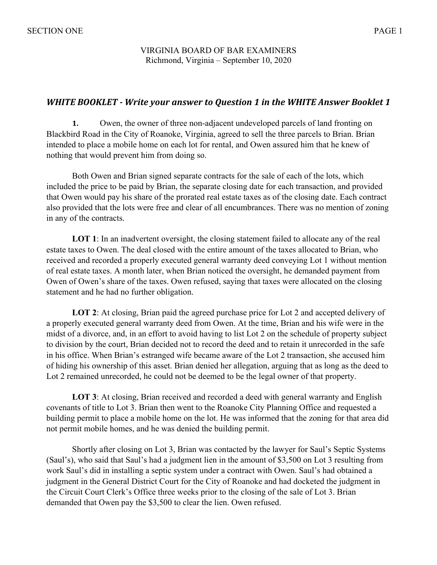## VIRGINIA BOARD OF BAR EXAMINERS Richmond, Virginia – September 10, 2020

# **WHITE BOOKLET** - Write your answer to Question 1 in the WHITE Answer Booklet 1

**1.** Owen, the owner of three non-adjacent undeveloped parcels of land fronting on Blackbird Road in the City of Roanoke, Virginia, agreed to sell the three parcels to Brian. Brian intended to place a mobile home on each lot for rental, and Owen assured him that he knew of nothing that would prevent him from doing so.

Both Owen and Brian signed separate contracts for the sale of each of the lots, which included the price to be paid by Brian, the separate closing date for each transaction, and provided that Owen would pay his share of the prorated real estate taxes as of the closing date. Each contract also provided that the lots were free and clear of all encumbrances. There was no mention of zoning in any of the contracts.

**LOT 1**: In an inadvertent oversight, the closing statement failed to allocate any of the real estate taxes to Owen. The deal closed with the entire amount of the taxes allocated to Brian, who received and recorded a properly executed general warranty deed conveying Lot 1 without mention of real estate taxes. A month later, when Brian noticed the oversight, he demanded payment from Owen of Owen's share of the taxes. Owen refused, saying that taxes were allocated on the closing statement and he had no further obligation.

**LOT 2**: At closing, Brian paid the agreed purchase price for Lot 2 and accepted delivery of a properly executed general warranty deed from Owen. At the time, Brian and his wife were in the midst of a divorce, and, in an effort to avoid having to list Lot 2 on the schedule of property subject to division by the court, Brian decided not to record the deed and to retain it unrecorded in the safe in his office. When Brian's estranged wife became aware of the Lot 2 transaction, she accused him of hiding his ownership of this asset. Brian denied her allegation, arguing that as long as the deed to Lot 2 remained unrecorded, he could not be deemed to be the legal owner of that property.

**LOT 3**: At closing, Brian received and recorded a deed with general warranty and English covenants of title to Lot 3. Brian then went to the Roanoke City Planning Office and requested a building permit to place a mobile home on the lot. He was informed that the zoning for that area did not permit mobile homes, and he was denied the building permit.

Shortly after closing on Lot 3, Brian was contacted by the lawyer for Saul's Septic Systems (Saul's), who said that Saul's had a judgment lien in the amount of \$3,500 on Lot 3 resulting from work Saul's did in installing a septic system under a contract with Owen. Saul's had obtained a judgment in the General District Court for the City of Roanoke and had docketed the judgment in the Circuit Court Clerk's Office three weeks prior to the closing of the sale of Lot 3. Brian demanded that Owen pay the \$3,500 to clear the lien. Owen refused.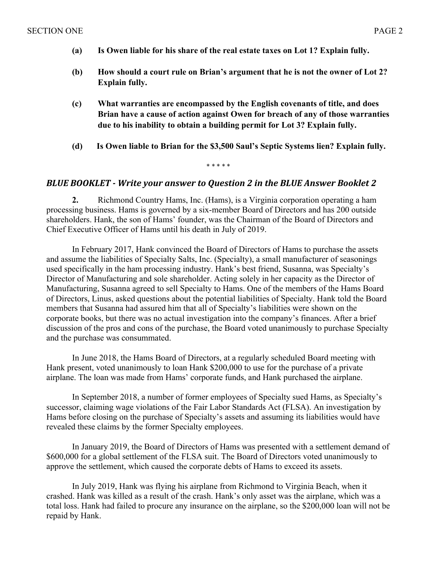- **(a) Is Owen liable for his share of the real estate taxes on Lot 1? Explain fully.**
- **(b) How should a court rule on Brian's argument that he is not the owner of Lot 2? Explain fully.**
- **(c) What warranties are encompassed by the English covenants of title, and does Brian have a cause of action against Owen for breach of any of those warranties due to his inability to obtain a building permit for Lot 3? Explain fully.**
- **(d) Is Owen liable to Brian for the \$3,500 Saul's Septic Systems lien? Explain fully.**

\* \* \* \* \*

#### *BLUE BOOKLET* - *Write your answer to Question 2 in the BLUE Answer Booklet 2*

**2.** Richmond Country Hams, Inc. (Hams), is a Virginia corporation operating a ham processing business. Hams is governed by a six-member Board of Directors and has 200 outside shareholders. Hank, the son of Hams' founder, was the Chairman of the Board of Directors and Chief Executive Officer of Hams until his death in July of 2019.

In February 2017, Hank convinced the Board of Directors of Hams to purchase the assets and assume the liabilities of Specialty Salts, Inc. (Specialty), a small manufacturer of seasonings used specifically in the ham processing industry. Hank's best friend, Susanna, was Specialty's Director of Manufacturing and sole shareholder. Acting solely in her capacity as the Director of Manufacturing, Susanna agreed to sell Specialty to Hams. One of the members of the Hams Board of Directors, Linus, asked questions about the potential liabilities of Specialty. Hank told the Board members that Susanna had assured him that all of Specialty's liabilities were shown on the corporate books, but there was no actual investigation into the company's finances. After a brief discussion of the pros and cons of the purchase, the Board voted unanimously to purchase Specialty and the purchase was consummated.

In June 2018, the Hams Board of Directors, at a regularly scheduled Board meeting with Hank present, voted unanimously to loan Hank \$200,000 to use for the purchase of a private airplane. The loan was made from Hams' corporate funds, and Hank purchased the airplane.

In September 2018, a number of former employees of Specialty sued Hams, as Specialty's successor, claiming wage violations of the Fair Labor Standards Act (FLSA). An investigation by Hams before closing on the purchase of Specialty's assets and assuming its liabilities would have revealed these claims by the former Specialty employees.

In January 2019, the Board of Directors of Hams was presented with a settlement demand of \$600,000 for a global settlement of the FLSA suit. The Board of Directors voted unanimously to approve the settlement, which caused the corporate debts of Hams to exceed its assets.

In July 2019, Hank was flying his airplane from Richmond to Virginia Beach, when it crashed. Hank was killed as a result of the crash. Hank's only asset was the airplane, which was a total loss. Hank had failed to procure any insurance on the airplane, so the \$200,000 loan will not be repaid by Hank.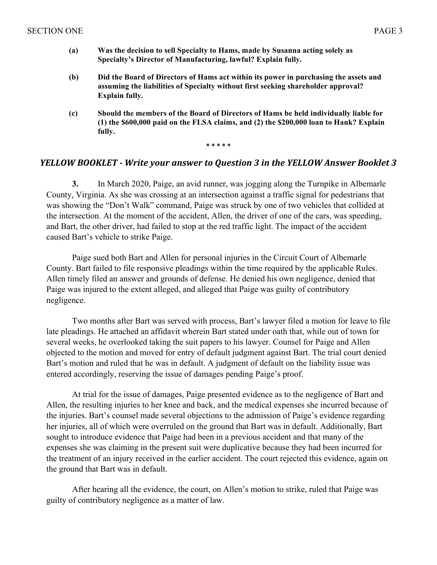- **(a) Was the decision to sell Specialty to Hams, made by Susanna acting solely as Specialty's Director of Manufacturing, lawful? Explain fully.**
- **(b) Did the Board of Directors of Hams act within its power in purchasing the assets and assuming the liabilities of Specialty without first seeking shareholder approval? Explain fully.**
- **(c) Should the members of the Board of Directors of Hams be held individually liable for (1) the \$600,000 paid on the FLSA claims, and (2) the \$200,000 loan to Hank? Explain fully.**

**\* \* \* \* \***

# *YELLOW BOOKLET* - *Write your answer to Question 3 in the YELLOW Answer Booklet 3*

**3.** In March 2020, Paige, an avid runner, was jogging along the Turnpike in Albemarle County, Virginia. As she was crossing at an intersection against a traffic signal for pedestrians that was showing the "Don't Walk" command, Paige was struck by one of two vehicles that collided at the intersection. At the moment of the accident, Allen, the driver of one of the cars, was speeding, and Bart, the other driver, had failed to stop at the red traffic light. The impact of the accident caused Bart's vehicle to strike Paige.

Paige sued both Bart and Allen for personal injuries in the Circuit Court of Albemarle County. Bart failed to file responsive pleadings within the time required by the applicable Rules. Allen timely filed an answer and grounds of defense. He denied his own negligence, denied that Paige was injured to the extent alleged, and alleged that Paige was guilty of contributory negligence.

Two months after Bart was served with process, Bart's lawyer filed a motion for leave to file late pleadings. He attached an affidavit wherein Bart stated under oath that, while out of town for several weeks, he overlooked taking the suit papers to his lawyer. Counsel for Paige and Allen objected to the motion and moved for entry of default judgment against Bart. The trial court denied Bart's motion and ruled that he was in default. A judgment of default on the liability issue was entered accordingly, reserving the issue of damages pending Paige's proof.

At trial for the issue of damages, Paige presented evidence as to the negligence of Bart and Allen, the resulting injuries to her knee and back, and the medical expenses she incurred because of the injuries. Bart's counsel made several objections to the admission of Paige's evidence regarding her injuries, all of which were overruled on the ground that Bart was in default. Additionally, Bart sought to introduce evidence that Paige had been in a previous accident and that many of the expenses she was claiming in the present suit were duplicative because they had been incurred for the treatment of an injury received in the earlier accident. The court rejected this evidence, again on the ground that Bart was in default.

After hearing all the evidence, the court, on Allen's motion to strike, ruled that Paige was guilty of contributory negligence as a matter of law.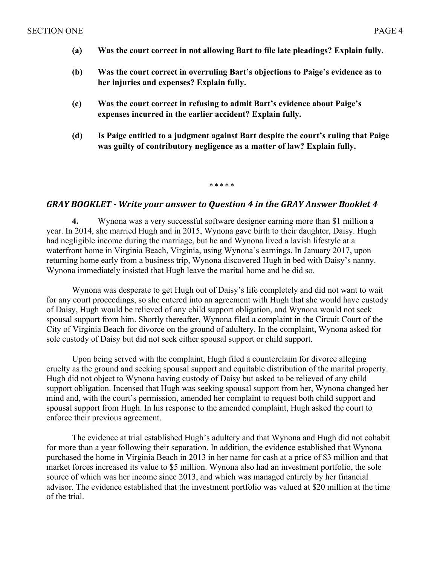- **(a) Was the court correct in not allowing Bart to file late pleadings? Explain fully.**
- **(b) Was the court correct in overruling Bart's objections to Paige's evidence as to her injuries and expenses? Explain fully.**
- **(c) Was the court correct in refusing to admit Bart's evidence about Paige's expenses incurred in the earlier accident? Explain fully.**
- **(d) Is Paige entitled to a judgment against Bart despite the court's ruling that Paige was guilty of contributory negligence as a matter of law? Explain fully.**

**\* \* \* \* \***

#### GRAY BOOKLET - Write your answer to Question 4 in the GRAY Answer Booklet 4

**4.** Wynona was a very successful software designer earning more than \$1 million a year. In 2014, she married Hugh and in 2015, Wynona gave birth to their daughter, Daisy. Hugh had negligible income during the marriage, but he and Wynona lived a lavish lifestyle at a waterfront home in Virginia Beach, Virginia, using Wynona's earnings. In January 2017, upon returning home early from a business trip, Wynona discovered Hugh in bed with Daisy's nanny. Wynona immediately insisted that Hugh leave the marital home and he did so.

Wynona was desperate to get Hugh out of Daisy's life completely and did not want to wait for any court proceedings, so she entered into an agreement with Hugh that she would have custody of Daisy, Hugh would be relieved of any child support obligation, and Wynona would not seek spousal support from him. Shortly thereafter, Wynona filed a complaint in the Circuit Court of the City of Virginia Beach for divorce on the ground of adultery. In the complaint, Wynona asked for sole custody of Daisy but did not seek either spousal support or child support.

Upon being served with the complaint, Hugh filed a counterclaim for divorce alleging cruelty as the ground and seeking spousal support and equitable distribution of the marital property. Hugh did not object to Wynona having custody of Daisy but asked to be relieved of any child support obligation. Incensed that Hugh was seeking spousal support from her, Wynona changed her mind and, with the court's permission, amended her complaint to request both child support and spousal support from Hugh. In his response to the amended complaint, Hugh asked the court to enforce their previous agreement.

The evidence at trial established Hugh's adultery and that Wynona and Hugh did not cohabit for more than a year following their separation. In addition, the evidence established that Wynona purchased the home in Virginia Beach in 2013 in her name for cash at a price of \$3 million and that market forces increased its value to \$5 million. Wynona also had an investment portfolio, the sole source of which was her income since 2013, and which was managed entirely by her financial advisor. The evidence established that the investment portfolio was valued at \$20 million at the time of the trial.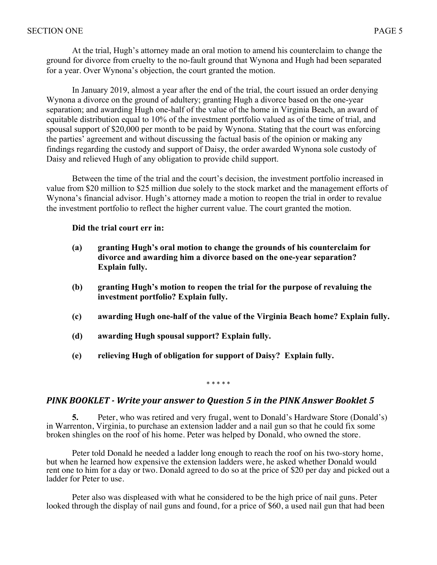At the trial, Hugh's attorney made an oral motion to amend his counterclaim to change the ground for divorce from cruelty to the no-fault ground that Wynona and Hugh had been separated for a year. Over Wynona's objection, the court granted the motion.

In January 2019, almost a year after the end of the trial, the court issued an order denying Wynona a divorce on the ground of adultery; granting Hugh a divorce based on the one-year separation; and awarding Hugh one-half of the value of the home in Virginia Beach, an award of equitable distribution equal to 10% of the investment portfolio valued as of the time of trial, and spousal support of \$20,000 per month to be paid by Wynona. Stating that the court was enforcing the parties' agreement and without discussing the factual basis of the opinion or making any findings regarding the custody and support of Daisy, the order awarded Wynona sole custody of Daisy and relieved Hugh of any obligation to provide child support.

Between the time of the trial and the court's decision, the investment portfolio increased in value from \$20 million to \$25 million due solely to the stock market and the management efforts of Wynona's financial advisor. Hugh's attorney made a motion to reopen the trial in order to revalue the investment portfolio to reflect the higher current value. The court granted the motion.

#### **Did the trial court err in:**

- **(a) granting Hugh's oral motion to change the grounds of his counterclaim for divorce and awarding him a divorce based on the one-year separation? Explain fully.**
- **(b) granting Hugh's motion to reopen the trial for the purpose of revaluing the investment portfolio? Explain fully.**
- **(c) awarding Hugh one-half of the value of the Virginia Beach home? Explain fully.**
- **(d) awarding Hugh spousal support? Explain fully.**
- **(e) relieving Hugh of obligation for support of Daisy? Explain fully.**

\* \* \* \* \*

## **PINK BOOKLET** - Write your answer to Question 5 in the PINK Answer Booklet 5

**5.** Peter, who was retired and very frugal, went to Donald's Hardware Store (Donald's) in Warrenton, Virginia, to purchase an extension ladder and a nail gun so that he could fix some broken shingles on the roof of his home. Peter was helped by Donald, who owned the store.

Peter told Donald he needed a ladder long enough to reach the roof on his two-story home, but when he learned how expensive the extension ladders were, he asked whether Donald would rent one to him for a day or two. Donald agreed to do so at the price of \$20 per day and picked out a ladder for Peter to use.

Peter also was displeased with what he considered to be the high price of nail guns. Peter looked through the display of nail guns and found, for a price of \$60, a used nail gun that had been